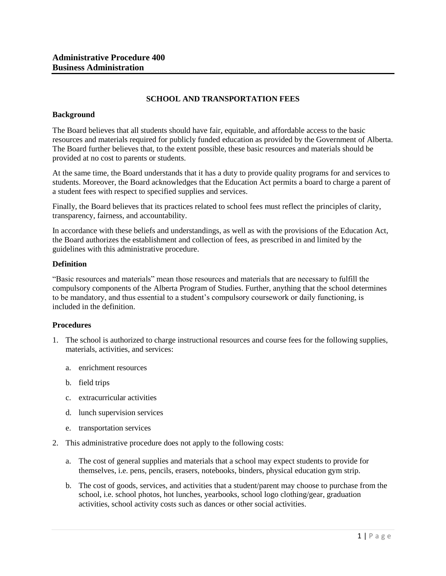# **SCHOOL AND TRANSPORTATION FEES**

## **Background**

The Board believes that all students should have fair, equitable, and affordable access to the basic resources and materials required for publicly funded education as provided by the Government of Alberta. The Board further believes that, to the extent possible, these basic resources and materials should be provided at no cost to parents or students.

At the same time, the Board understands that it has a duty to provide quality programs for and services to students. Moreover, the Board acknowledges that the Education Act permits a board to charge a parent of a student fees with respect to specified supplies and services.

Finally, the Board believes that its practices related to school fees must reflect the principles of clarity, transparency, fairness, and accountability.

In accordance with these beliefs and understandings, as well as with the provisions of the Education Act, the Board authorizes the establishment and collection of fees, as prescribed in and limited by the guidelines with this administrative procedure.

## **Definition**

"Basic resources and materials" mean those resources and materials that are necessary to fulfill the compulsory components of the Alberta Program of Studies. Further, anything that the school determines to be mandatory, and thus essential to a student's compulsory coursework or daily functioning, is included in the definition.

## **Procedures**

- 1. The school is authorized to charge instructional resources and course fees for the following supplies, materials, activities, and services:
	- a. enrichment resources
	- b. field trips
	- c. extracurricular activities
	- d. lunch supervision services
	- e. transportation services
- 2. This administrative procedure does not apply to the following costs:
	- a. The cost of general supplies and materials that a school may expect students to provide for themselves, i.e. pens, pencils, erasers, notebooks, binders, physical education gym strip.
	- b. The cost of goods, services, and activities that a student/parent may choose to purchase from the school, i.e. school photos, hot lunches, yearbooks, school logo clothing/gear, graduation activities, school activity costs such as dances or other social activities.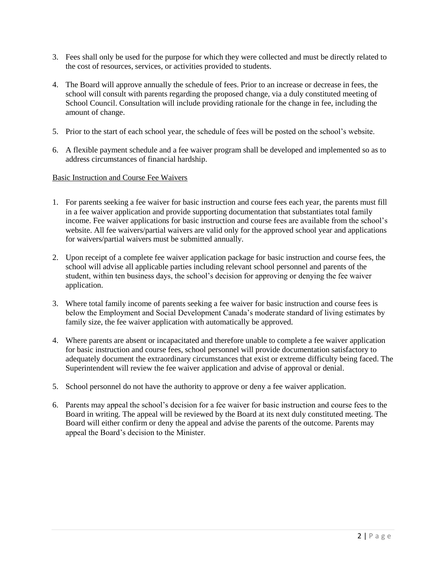- 3. Fees shall only be used for the purpose for which they were collected and must be directly related to the cost of resources, services, or activities provided to students.
- 4. The Board will approve annually the schedule of fees. Prior to an increase or decrease in fees, the school will consult with parents regarding the proposed change, via a duly constituted meeting of School Council. Consultation will include providing rationale for the change in fee, including the amount of change.
- 5. Prior to the start of each school year, the schedule of fees will be posted on the school's website.
- 6. A flexible payment schedule and a fee waiver program shall be developed and implemented so as to address circumstances of financial hardship.

## Basic Instruction and Course Fee Waivers

- 1. For parents seeking a fee waiver for basic instruction and course fees each year, the parents must fill in a fee waiver application and provide supporting documentation that substantiates total family income. Fee waiver applications for basic instruction and course fees are available from the school's website. All fee waivers/partial waivers are valid only for the approved school year and applications for waivers/partial waivers must be submitted annually.
- 2. Upon receipt of a complete fee waiver application package for basic instruction and course fees, the school will advise all applicable parties including relevant school personnel and parents of the student, within ten business days, the school's decision for approving or denying the fee waiver application.
- 3. Where total family income of parents seeking a fee waiver for basic instruction and course fees is below the Employment and Social Development Canada's moderate standard of living estimates by family size, the fee waiver application with automatically be approved.
- 4. Where parents are absent or incapacitated and therefore unable to complete a fee waiver application for basic instruction and course fees, school personnel will provide documentation satisfactory to adequately document the extraordinary circumstances that exist or extreme difficulty being faced. The Superintendent will review the fee waiver application and advise of approval or denial.
- 5. School personnel do not have the authority to approve or deny a fee waiver application.
- 6. Parents may appeal the school's decision for a fee waiver for basic instruction and course fees to the Board in writing. The appeal will be reviewed by the Board at its next duly constituted meeting. The Board will either confirm or deny the appeal and advise the parents of the outcome. Parents may appeal the Board's decision to the Minister.